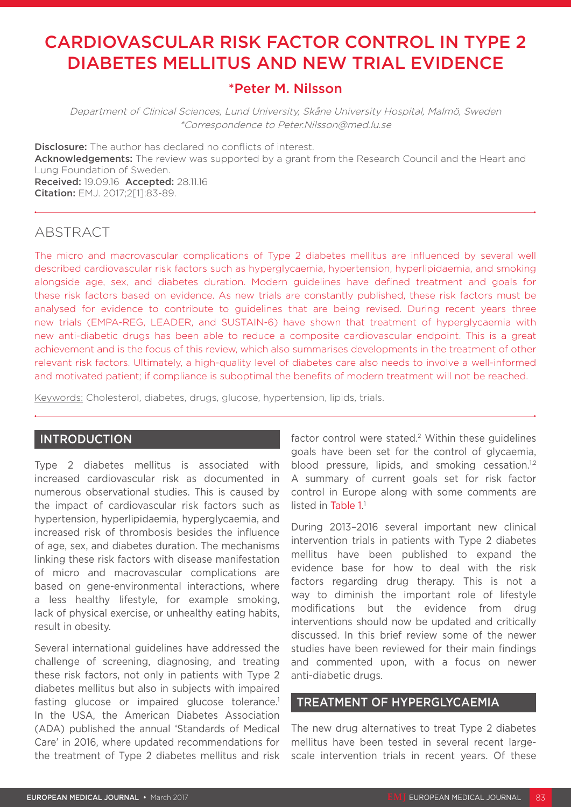# CARDIOVASCULAR RISK FACTOR CONTROL IN TYPE 2 DIABETES MELLITUS AND NEW TRIAL EVIDENCE

# \*Peter M. Nilsson

Department of Clinical Sciences, Lund University, Skåne University Hospital, Malmö, Sweden \*Correspondence to Peter.Nilsson@med.lu.se

**Disclosure:** The author has declared no conflicts of interest. Acknowledgements: The review was supported by a grant from the Research Council and the Heart and Lung Foundation of Sweden. Received: 19.09.16 Accepted: 28.11.16 Citation: EMJ. 2017;2[1]:83-89.

## ABSTRACT

The micro and macrovascular complications of Type 2 diabetes mellitus are influenced by several well described cardiovascular risk factors such as hyperglycaemia, hypertension, hyperlipidaemia, and smoking alongside age, sex, and diabetes duration. Modern guidelines have defined treatment and goals for these risk factors based on evidence. As new trials are constantly published, these risk factors must be analysed for evidence to contribute to guidelines that are being revised. During recent years three new trials (EMPA-REG, LEADER, and SUSTAIN-6) have shown that treatment of hyperglycaemia with new anti-diabetic drugs has been able to reduce a composite cardiovascular endpoint. This is a great achievement and is the focus of this review, which also summarises developments in the treatment of other relevant risk factors. Ultimately, a high-quality level of diabetes care also needs to involve a well-informed and motivated patient; if compliance is suboptimal the benefits of modern treatment will not be reached.

Keywords: Cholesterol, diabetes, drugs, glucose, hypertension, lipids, trials.

#### INTRODUCTION

Type 2 diabetes mellitus is associated with increased cardiovascular risk as documented in numerous observational studies. This is caused by the impact of cardiovascular risk factors such as hypertension, hyperlipidaemia, hyperglycaemia, and increased risk of thrombosis besides the influence of age, sex, and diabetes duration. The mechanisms linking these risk factors with disease manifestation of micro and macrovascular complications are based on gene-environmental interactions, where a less healthy lifestyle, for example smoking, lack of physical exercise, or unhealthy eating habits, result in obesity.

Several international guidelines have addressed the challenge of screening, diagnosing, and treating these risk factors, not only in patients with Type 2 diabetes mellitus but also in subjects with impaired fasting glucose or impaired glucose tolerance.<sup>1</sup> In the USA, the American Diabetes Association (ADA) published the annual 'Standards of Medical Care' in 2016, where updated recommendations for the treatment of Type 2 diabetes mellitus and risk factor control were stated.<sup>2</sup> Within these quidelines goals have been set for the control of glycaemia, blood pressure, lipids, and smoking cessation.<sup>1,2</sup> A summary of current goals set for risk factor control in Europe along with some comments are listed in Table 1.<sup>1</sup>

During 2013–2016 several important new clinical intervention trials in patients with Type 2 diabetes mellitus have been published to expand the evidence base for how to deal with the risk factors regarding drug therapy. This is not a way to diminish the important role of lifestyle modifications but the evidence from drug interventions should now be updated and critically discussed. In this brief review some of the newer studies have been reviewed for their main findings and commented upon, with a focus on newer anti-diabetic drugs.

#### TREATMENT OF HYPERGLYCAEMIA

The new drug alternatives to treat Type 2 diabetes mellitus have been tested in several recent largescale intervention trials in recent years. Of these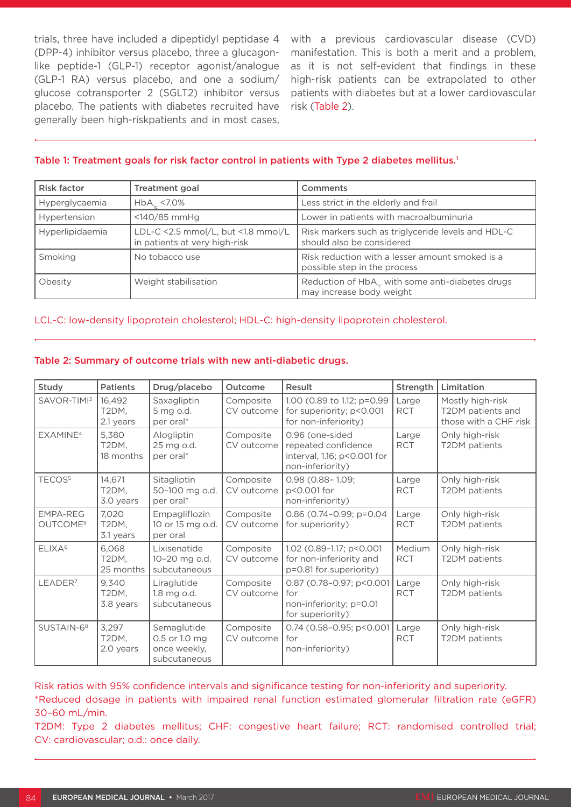trials, three have included a dipeptidyl peptidase 4 (DPP-4) inhibitor versus placebo, three a glucagonlike peptide-1 (GLP-1) receptor agonist/analogue (GLP-1 RA) versus placebo, and one a sodium/ glucose cotransporter 2 (SGLT2) inhibitor versus placebo. The patients with diabetes recruited have generally been high-riskpatients and in most cases,

with a previous cardiovascular disease (CVD) manifestation. This is both a merit and a problem, as it is not self-evident that findings in these high-risk patients can be extrapolated to other patients with diabetes but at a lower cardiovascular risk (Table 2).

#### Table 1: Treatment goals for risk factor control in patients with Type 2 diabetes mellitus.<sup>1</sup>

| <b>Risk factor</b> | Treatment goal                                                      | <b>Comments</b>                                                                          |  |
|--------------------|---------------------------------------------------------------------|------------------------------------------------------------------------------------------|--|
| Hyperglycaemia     | $HbA16 < 7.0\%$                                                     | Less strict in the elderly and frail                                                     |  |
| Hypertension       | <140/85 mmHg                                                        | Lower in patients with macroalbuminuria                                                  |  |
| Hyperlipidaemia    | LDL-C <2.5 mmol/L, but <1.8 mmol/L<br>in patients at very high-risk | Risk markers such as triglyceride levels and HDL-C<br>should also be considered          |  |
| Smoking            | No tobacco use                                                      | Risk reduction with a lesser amount smoked is a<br>possible step in the process          |  |
| Obesity            | Weight stabilisation                                                | Reduction of HbA <sub>1c</sub> with some anti-diabetes drugs<br>may increase body weight |  |

#### LCL-C: low-density lipoprotein cholesterol; HDL-C: high-density lipoprotein cholesterol.

| Study                                   | <b>Patients</b>              | Drug/placebo                                                 | Outcome                 | Result                                                                                    | Strength             | Limitation                                                     |
|-----------------------------------------|------------------------------|--------------------------------------------------------------|-------------------------|-------------------------------------------------------------------------------------------|----------------------|----------------------------------------------------------------|
| SAVOR-TIMI3                             | 16,492<br>T2DM,<br>2.1 years | Saxagliptin<br>5 mg o.d.<br>per oral*                        | Composite<br>CV outcome | 1.00 (0.89 to 1.12; p=0.99<br>for superiority; p<0.001<br>for non-inferiority)            | Large<br><b>RCT</b>  | Mostly high-risk<br>T2DM patients and<br>those with a CHF risk |
| EXAMINE <sup>4</sup>                    | 5,380<br>T2DM,<br>18 months  | Alogliptin<br>25 mg o.d.<br>per oral*                        | Composite<br>CV outcome | 0.96 (one-sided<br>repeated confidence<br>interval, 1.16; p<0.001 for<br>non-inferiority) | Large<br><b>RCT</b>  | Only high-risk<br>T2DM patients                                |
| TECOS <sup>5</sup>                      | 14,671<br>T2DM,<br>3.0 years | Sitagliptin<br>50-100 mg o.d.<br>per oral*                   | Composite<br>CV outcome | $0.98$ (0.88-1.09;<br>p<0.001 for<br>non-inferiority)                                     | Large<br><b>RCT</b>  | Only high-risk<br>T2DM patients                                |
| <b>EMPA-REG</b><br>OUTCOME <sup>9</sup> | 7,020<br>T2DM,<br>3.1 years  | Empagliflozin<br>10 or 15 mg o.d.<br>per oral                | Composite<br>CV outcome | 0.86 (0.74-0.99; p=0.04<br>for superiority)                                               | Large<br><b>RCT</b>  | Only high-risk<br>T2DM patients                                |
| ELIXA <sup>6</sup>                      | 6,068<br>T2DM,<br>25 months  | Lixisenatide<br>10-20 mg o.d.<br>subcutaneous                | Composite<br>CV outcome | 1.02 (0.89-1.17; p<0.001<br>for non-inferiority and<br>p=0.81 for superiority)            | Medium<br><b>RCT</b> | Only high-risk<br>T2DM patients                                |
| LEADER <sup>7</sup>                     | 9,340<br>T2DM,<br>3.8 years  | Liraglutide<br>1.8 mg o.d.<br>subcutaneous                   | Composite<br>CV outcome | 0.87 (0.78-0.97; p<0.001<br>for<br>non-inferiority; p=0.01<br>for superiority)            | _arge<br><b>RCT</b>  | Only high-risk<br>T2DM patients                                |
| SUSTAIN-6 <sup>8</sup>                  | 3,297<br>T2DM,<br>2.0 years  | Semaglutide<br>0.5 or 1.0 mg<br>once weekly,<br>subcutaneous | Composite<br>CV outcome | 0.74 (0.58-0.95; p<0.001<br>for<br>non-inferiority)                                       | Large<br><b>RCT</b>  | Only high-risk<br>T2DM patients                                |

Table 2: Summary of outcome trials with new anti-diabetic drugs.

Risk ratios with 95% confidence intervals and significance testing for non-inferiority and superiority. \*Reduced dosage in patients with impaired renal function estimated glomerular filtration rate (eGFR) 30–60 mL/min.

T2DM: Type 2 diabetes mellitus; CHF: congestive heart failure; RCT: randomised controlled trial; CV: cardiovascular; o.d.: once daily.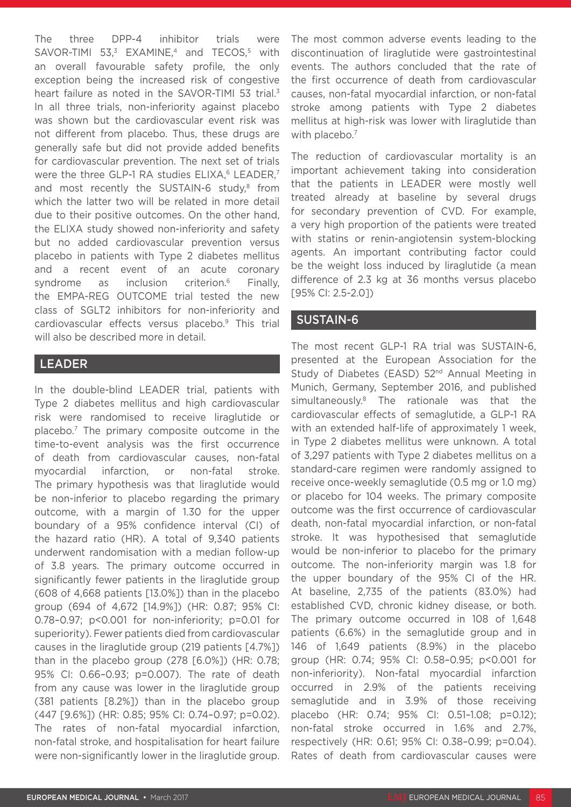The three DPP-4 inhibitor trials were SAVOR-TIMI 53, $3$  EXAMINE,<sup>4</sup> and TECOS,<sup>5</sup> with an overall favourable safety profile, the only exception being the increased risk of congestive heart failure as noted in the SAVOR-TIMI 53 trial.<sup>3</sup> In all three trials, non-inferiority against placebo was shown but the cardiovascular event risk was not different from placebo. Thus, these drugs are generally safe but did not provide added benefits for cardiovascular prevention. The next set of trials were the three GLP-1 RA studies  $ELIXA<sup>6</sup> LEADER<sup>7</sup>$ and most recently the SUSTAIN-6 study,<sup>8</sup> from which the latter two will be related in more detail due to their positive outcomes. On the other hand, the ELIXA study showed non-inferiority and safety but no added cardiovascular prevention versus placebo in patients with Type 2 diabetes mellitus and a recent event of an acute coronary syndrome as inclusion criterion.<sup>6</sup> Finally, the EMPA-REG OUTCOME trial tested the new class of SGLT2 inhibitors for non-inferiority and cardiovascular effects versus placebo.9 This trial will also be described more in detail.

### LEADER

In the double-blind LEADER trial, patients with Type 2 diabetes mellitus and high cardiovascular risk were randomised to receive liraglutide or placebo.7 The primary composite outcome in the time-to-event analysis was the first occurrence of death from cardiovascular causes, non-fatal myocardial infarction, or non-fatal stroke. The primary hypothesis was that liraglutide would be non-inferior to placebo regarding the primary outcome, with a margin of 1.30 for the upper boundary of a 95% confidence interval (CI) of the hazard ratio (HR). A total of 9,340 patients underwent randomisation with a median follow-up of 3.8 years. The primary outcome occurred in significantly fewer patients in the liraglutide group (608 of 4,668 patients [13.0%]) than in the placebo group (694 of 4,672 [14.9%]) (HR: 0.87; 95% CI: 0.78–0.97; p<0.001 for non-inferiority; p=0.01 for superiority). Fewer patients died from cardiovascular causes in the liraglutide group (219 patients [4.7%]) than in the placebo group (278 [6.0%]) (HR: 0.78; 95% CI: 0.66–0.93; p=0.007). The rate of death from any cause was lower in the liraglutide group (381 patients [8.2%]) than in the placebo group (447 [9.6%]) (HR: 0.85; 95% CI: 0.74–0.97; p=0.02). The rates of non-fatal myocardial infarction, non-fatal stroke, and hospitalisation for heart failure were non-significantly lower in the liraglutide group.

The most common adverse events leading to the discontinuation of liraglutide were gastrointestinal events. The authors concluded that the rate of the first occurrence of death from cardiovascular causes, non-fatal myocardial infarction, or non-fatal stroke among patients with Type 2 diabetes mellitus at high-risk was lower with liraglutide than with placebo.<sup>7</sup>

The reduction of cardiovascular mortality is an important achievement taking into consideration that the patients in LEADER were mostly well treated already at baseline by several drugs for secondary prevention of CVD. For example, a very high proportion of the patients were treated with statins or renin-angiotensin system-blocking agents. An important contributing factor could be the weight loss induced by liraglutide (a mean difference of 2.3 kg at 36 months versus placebo [95% CI: 2.5-2.0])

### SUSTAIN-6

The most recent GLP-1 RA trial was SUSTAIN-6, presented at the European Association for the Study of Diabetes (EASD) 52<sup>nd</sup> Annual Meeting in Munich, Germany, September 2016, and published simultaneously.8 The rationale was that the cardiovascular effects of semaglutide, a GLP-1 RA with an extended half-life of approximately 1 week, in Type 2 diabetes mellitus were unknown. A total of 3,297 patients with Type 2 diabetes mellitus on a standard-care regimen were randomly assigned to receive once-weekly semaglutide (0.5 mg or 1.0 mg) or placebo for 104 weeks. The primary composite outcome was the first occurrence of cardiovascular death, non-fatal myocardial infarction, or non-fatal stroke. It was hypothesised that semaglutide would be non-inferior to placebo for the primary outcome. The non-inferiority margin was 1.8 for the upper boundary of the 95% CI of the HR. At baseline, 2,735 of the patients (83.0%) had established CVD, chronic kidney disease, or both. The primary outcome occurred in 108 of 1,648 patients (6.6%) in the semaglutide group and in 146 of 1,649 patients (8.9%) in the placebo group (HR: 0.74; 95% CI: 0.58–0.95; p<0.001 for non-inferiority). Non-fatal myocardial infarction occurred in 2.9% of the patients receiving semaglutide and in 3.9% of those receiving placebo (HR: 0.74; 95% CI: 0.51–1.08; p=0.12); non-fatal stroke occurred in 1.6% and 2.7%, respectively (HR: 0.61; 95% CI: 0.38–0.99; p=0.04). Rates of death from cardiovascular causes were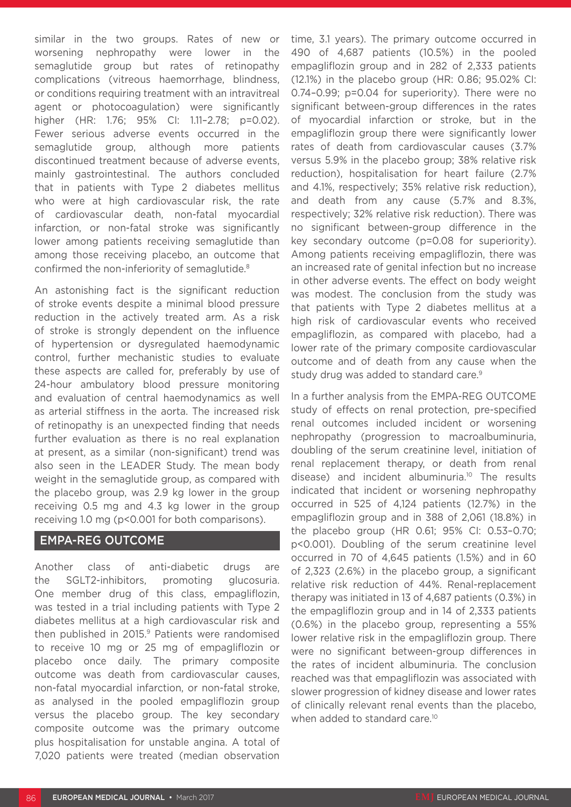similar in the two groups. Rates of new or worsening nephropathy were lower in the semaglutide group but rates of retinopathy complications (vitreous haemorrhage, blindness, or conditions requiring treatment with an intravitreal agent or photocoagulation) were significantly higher (HR: 1.76; 95% CI: 1.11-2.78; p=0.02). Fewer serious adverse events occurred in the semaglutide group, although more patients discontinued treatment because of adverse events, mainly gastrointestinal. The authors concluded that in patients with Type 2 diabetes mellitus who were at high cardiovascular risk, the rate of cardiovascular death, non-fatal myocardial infarction, or non-fatal stroke was significantly lower among patients receiving semaglutide than among those receiving placebo, an outcome that confirmed the non-inferiority of semaglutide.8

An astonishing fact is the significant reduction of stroke events despite a minimal blood pressure reduction in the actively treated arm. As a risk of stroke is strongly dependent on the influence of hypertension or dysregulated haemodynamic control, further mechanistic studies to evaluate these aspects are called for, preferably by use of 24-hour ambulatory blood pressure monitoring and evaluation of central haemodynamics as well as arterial stiffness in the aorta. The increased risk of retinopathy is an unexpected finding that needs further evaluation as there is no real explanation at present, as a similar (non-significant) trend was also seen in the LEADER Study. The mean body weight in the semaglutide group, as compared with the placebo group, was 2.9 kg lower in the group receiving 0.5 mg and 4.3 kg lower in the group receiving 1.0 mg (p<0.001 for both comparisons).

## EMPA-REG OUTCOME

Another class of anti-diabetic drugs are the SGLT2-inhibitors, promoting glucosuria. One member drug of this class, empagliflozin, was tested in a trial including patients with Type 2 diabetes mellitus at a high cardiovascular risk and then published in 2015.<sup>9</sup> Patients were randomised to receive 10 mg or 25 mg of empagliflozin or placebo once daily. The primary composite outcome was death from cardiovascular causes, non-fatal myocardial infarction, or non-fatal stroke, as analysed in the pooled empagliflozin group versus the placebo group. The key secondary composite outcome was the primary outcome plus hospitalisation for unstable angina. A total of 7,020 patients were treated (median observation

time, 3.1 years). The primary outcome occurred in 490 of 4,687 patients (10.5%) in the pooled empagliflozin group and in 282 of 2,333 patients (12.1%) in the placebo group (HR: 0.86; 95.02% CI: 0.74–0.99; p=0.04 for superiority). There were no significant between-group differences in the rates of myocardial infarction or stroke, but in the empagliflozin group there were significantly lower rates of death from cardiovascular causes (3.7% versus 5.9% in the placebo group; 38% relative risk reduction), hospitalisation for heart failure (2.7% and 4.1%, respectively; 35% relative risk reduction), and death from any cause (5.7% and 8.3%, respectively; 32% relative risk reduction). There was no significant between-group difference in the key secondary outcome (p=0.08 for superiority). Among patients receiving empagliflozin, there was an increased rate of genital infection but no increase in other adverse events. The effect on body weight was modest. The conclusion from the study was that patients with Type 2 diabetes mellitus at a high risk of cardiovascular events who received empagliflozin, as compared with placebo, had a lower rate of the primary composite cardiovascular outcome and of death from any cause when the study drug was added to standard care.<sup>9</sup>

In a further analysis from the EMPA-REG OUTCOME study of effects on renal protection, pre-specified renal outcomes included incident or worsening nephropathy (progression to macroalbuminuria, doubling of the serum creatinine level, initiation of renal replacement therapy, or death from renal disease) and incident albuminuria.<sup>10</sup> The results indicated that incident or worsening nephropathy occurred in 525 of 4,124 patients (12.7%) in the empagliflozin group and in 388 of 2,061 (18.8%) in the placebo group (HR 0.61; 95% CI: 0.53–0.70; p<0.001). Doubling of the serum creatinine level occurred in 70 of 4,645 patients (1.5%) and in 60 of 2,323 (2.6%) in the placebo group, a significant relative risk reduction of 44%. Renal-replacement therapy was initiated in 13 of 4,687 patients (0.3%) in the empagliflozin group and in 14 of 2,333 patients (0.6%) in the placebo group, representing a 55% lower relative risk in the empagliflozin group. There were no significant between-group differences in the rates of incident albuminuria. The conclusion reached was that empagliflozin was associated with slower progression of kidney disease and lower rates of clinically relevant renal events than the placebo, when added to standard care.<sup>10</sup>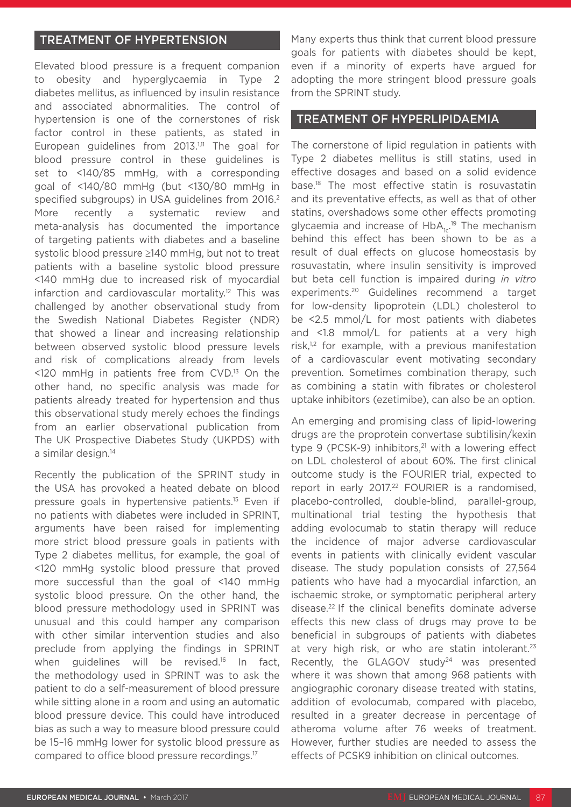#### TREATMENT OF HYPERTENSION

Elevated blood pressure is a frequent companion to obesity and hyperglycaemia in Type 2 diabetes mellitus, as influenced by insulin resistance and associated abnormalities. The control of hypertension is one of the cornerstones of risk factor control in these patients, as stated in European guidelines from  $2013$ <sup>1,11</sup> The goal for blood pressure control in these guidelines is set to <140/85 mmHg, with a corresponding goal of <140/80 mmHg (but <130/80 mmHg in specified subgroups) in USA guidelines from 2016.<sup>2</sup> More recently a systematic review and meta-analysis has documented the importance of targeting patients with diabetes and a baseline systolic blood pressure ≥140 mmHg, but not to treat patients with a baseline systolic blood pressure <140 mmHg due to increased risk of myocardial infarction and cardiovascular mortality.<sup>12</sup> This was challenged by another observational study from the Swedish National Diabetes Register (NDR) that showed a linear and increasing relationship between observed systolic blood pressure levels and risk of complications already from levels <120 mmHg in patients free from CVD.13 On the other hand, no specific analysis was made for patients already treated for hypertension and thus this observational study merely echoes the findings from an earlier observational publication from The UK Prospective Diabetes Study (UKPDS) with a similar design.<sup>14</sup>

Recently the publication of the SPRINT study in the USA has provoked a heated debate on blood pressure goals in hypertensive patients.15 Even if no patients with diabetes were included in SPRINT, arguments have been raised for implementing more strict blood pressure goals in patients with Type 2 diabetes mellitus, for example, the goal of <120 mmHg systolic blood pressure that proved more successful than the goal of <140 mmHg systolic blood pressure. On the other hand, the blood pressure methodology used in SPRINT was unusual and this could hamper any comparison with other similar intervention studies and also preclude from applying the findings in SPRINT when guidelines will be revised.<sup>16</sup> In fact, the methodology used in SPRINT was to ask the patient to do a self-measurement of blood pressure while sitting alone in a room and using an automatic blood pressure device. This could have introduced bias as such a way to measure blood pressure could be 15–16 mmHg lower for systolic blood pressure as compared to office blood pressure recordings.17

Many experts thus think that current blood pressure goals for patients with diabetes should be kept, even if a minority of experts have argued for adopting the more stringent blood pressure goals from the SPRINT study.

#### TREATMENT OF HYPERLIPIDAEMIA

The cornerstone of lipid regulation in patients with Type 2 diabetes mellitus is still statins, used in effective dosages and based on a solid evidence base.18 The most effective statin is rosuvastatin and its preventative effects, as well as that of other statins, overshadows some other effects promoting glycaemia and increase of HbA<sub>1c</sub>.<sup>19</sup> The mechanism behind this effect has been shown to be as a result of dual effects on glucose homeostasis by rosuvastatin, where insulin sensitivity is improved but beta cell function is impaired during *in vitro* experiments.20 Guidelines recommend a target for low-density lipoprotein (LDL) cholesterol to be <2.5 mmol/L for most patients with diabetes and <1.8 mmol/L for patients at a very high risk, $1,2$  for example, with a previous manifestation of a cardiovascular event motivating secondary prevention. Sometimes combination therapy, such as combining a statin with fibrates or cholesterol uptake inhibitors (ezetimibe), can also be an option.

An emerging and promising class of lipid-lowering drugs are the proprotein convertase subtilisin/kexin type 9 (PCSK-9) inhibitors,<sup>21</sup> with a lowering effect on LDL cholesterol of about 60%. The first clinical outcome study is the FOURIER trial, expected to report in early 2017.<sup>22</sup> FOURIER is a randomised, placebo-controlled, double-blind, parallel-group, multinational trial testing the hypothesis that adding evolocumab to statin therapy will reduce the incidence of major adverse cardiovascular events in patients with clinically evident vascular disease. The study population consists of 27,564 patients who have had a myocardial infarction, an ischaemic stroke, or symptomatic peripheral artery disease.22 If the clinical benefits dominate adverse effects this new class of drugs may prove to be beneficial in subgroups of patients with diabetes at very high risk, or who are statin intolerant.<sup>23</sup> Recently, the GLAGOV study<sup>24</sup> was presented where it was shown that among 968 patients with angiographic coronary disease treated with statins, addition of evolocumab, compared with placebo, resulted in a greater decrease in percentage of atheroma volume after 76 weeks of treatment. However, further studies are needed to assess the effects of PCSK9 inhibition on clinical outcomes.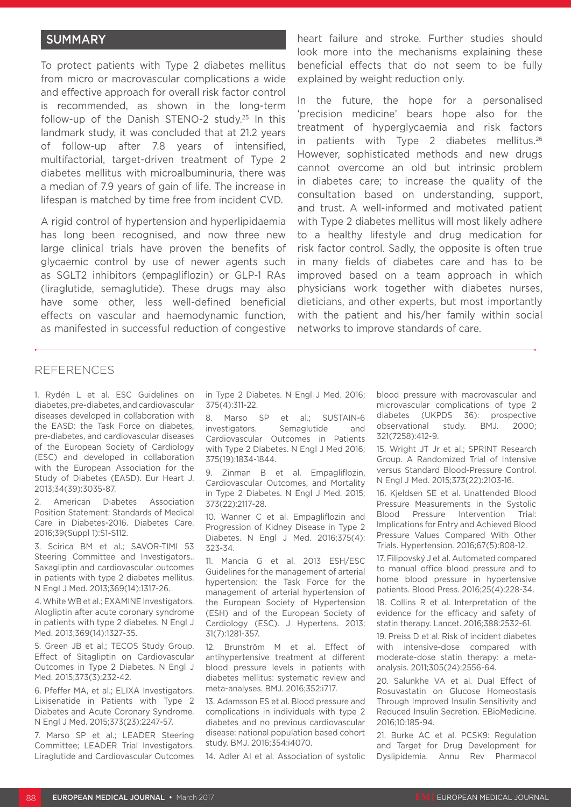#### **SUMMARY**

To protect patients with Type 2 diabetes mellitus from micro or macrovascular complications a wide and effective approach for overall risk factor control is recommended, as shown in the long-term follow-up of the Danish STENO-2 study.25 In this landmark study, it was concluded that at 21.2 years of follow-up after 7.8 years of intensified, multifactorial, target-driven treatment of Type 2 diabetes mellitus with microalbuminuria, there was a median of 7.9 years of gain of life. The increase in lifespan is matched by time free from incident CVD.

A rigid control of hypertension and hyperlipidaemia has long been recognised, and now three new large clinical trials have proven the benefits of glycaemic control by use of newer agents such as SGLT2 inhibitors (empagliflozin) or GLP-1 RAs (liraglutide, semaglutide). These drugs may also have some other, less well-defined beneficial effects on vascular and haemodynamic function, as manifested in successful reduction of congestive heart failure and stroke. Further studies should look more into the mechanisms explaining these beneficial effects that do not seem to be fully explained by weight reduction only.

In the future, the hope for a personalised 'precision medicine' bears hope also for the treatment of hyperglycaemia and risk factors in patients with Type 2 diabetes mellitus.<sup>26</sup> However, sophisticated methods and new drugs cannot overcome an old but intrinsic problem in diabetes care; to increase the quality of the consultation based on understanding, support, and trust. A well-informed and motivated patient with Type 2 diabetes mellitus will most likely adhere to a healthy lifestyle and drug medication for risk factor control. Sadly, the opposite is often true in many fields of diabetes care and has to be improved based on a team approach in which physicians work together with diabetes nurses, dieticians, and other experts, but most importantly with the patient and his/her family within social networks to improve standards of care.

#### REFERENCES

1. Rydén L et al. ESC Guidelines on diabetes, pre-diabetes, and cardiovascular diseases developed in collaboration with the EASD: the Task Force on diabetes, pre-diabetes, and cardiovascular diseases of the European Society of Cardiology (ESC) and developed in collaboration with the European Association for the Study of Diabetes (EASD). Eur Heart J. 2013;34(39):3035-87.

2. American Diabetes Association Position Statement: Standards of Medical Care in Diabetes-2016. Diabetes Care. 2016;39(Suppl 1):S1-S112.

3. Scirica BM et al.; SAVOR-TIMI 53 Steering Committee and Investigators.. Saxagliptin and cardiovascular outcomes in patients with type 2 diabetes mellitus. N Engl J Med. 2013;369(14):1317-26.

4. White WB et al.; EXAMINE Investigators. Alogliptin after acute coronary syndrome in patients with type 2 diabetes. N Engl J Med. 2013;369(14):1327-35.

5. Green JB et al.; TECOS Study Group. Effect of Sitagliptin on Cardiovascular Outcomes in Type 2 Diabetes. N Engl J Med. 2015;373(3):232-42.

6. Pfeffer MA, et al.; ELIXA Investigators. Lixisenatide in Patients with Type 2 Diabetes and Acute Coronary Syndrome. N Engl J Med. 2015;373(23):2247-57.

7. Marso SP et al.; LEADER Steering Committee; LEADER Trial Investigators. Liraglutide and Cardiovascular Outcomes in Type 2 Diabetes. N Engl J Med. 2016; 375(4):311-22.

8. Marso SP et al.; SUSTAIN-6 investigators. Semaglutide and Cardiovascular Outcomes in Patients with Type 2 Diabetes. N Engl J Med 2016; 375(19):1834-1844.

9. Zinman B et al. Empagliflozin, Cardiovascular Outcomes, and Mortality in Type 2 Diabetes. N Engl J Med. 2015; 373(22):2117-28.

10. Wanner C et al. Empagliflozin and Progression of Kidney Disease in Type 2 Diabetes. N Engl J Med. 2016;375(4): 323-34.

11. Mancia G et al. 2013 ESH/ESC Guidelines for the management of arterial hypertension: the Task Force for the management of arterial hypertension of the European Society of Hypertension (ESH) and of the European Society of Cardiology (ESC). J Hypertens. 2013; 31(7):1281-357.

12. Brunström M et al. Effect of antihypertensive treatment at different blood pressure levels in patients with diabetes mellitus: systematic review and meta-analyses. BMJ. 2016;352:i717.

13. Adamsson ES et al. Blood pressure and complications in individuals with type 2 diabetes and no previous cardiovascular disease: national population based cohort study. BMJ. 2016;354:i4070.

14. Adler AI et al. Association of systolic

blood pressure with macrovascular and microvascular complications of type 2 diabetes (UKPDS 36): prospective observational study. BMJ. 2000; 321(7258):412-9.

15. Wright JT Jr et al.; SPRINT Research Group. A Randomized Trial of Intensive versus Standard Blood-Pressure Control. N Engl J Med. 2015;373(22):2103-16.

16. Kjeldsen SE et al. Unattended Blood Pressure Measurements in the Systolic Blood Pressure Intervention Trial: Implications for Entry and Achieved Blood Pressure Values Compared With Other Trials. Hypertension. 2016;67(5):808-12.

17. Filipovský J et al. Automated compared to manual office blood pressure and to home blood pressure in hypertensive patients. Blood Press. 2016;25(4):228-34.

18. Collins R et al. Interpretation of the evidence for the efficacy and safety of statin therapy. Lancet. 2016;388:2532-61.

19. Preiss D et al. Risk of incident diabetes with intensive-dose compared with moderate-dose statin therapy: a metaanalysis. 2011;305(24):2556-64.

20. Salunkhe VA et al. Dual Effect of Rosuvastatin on Glucose Homeostasis Through Improved Insulin Sensitivity and Reduced Insulin Secretion. EBioMedicine. 2016;10:185-94.

21. Burke AC et al. PCSK9: Regulation and Target for Drug Development for Dyslipidemia. Annu Rev Pharmacol